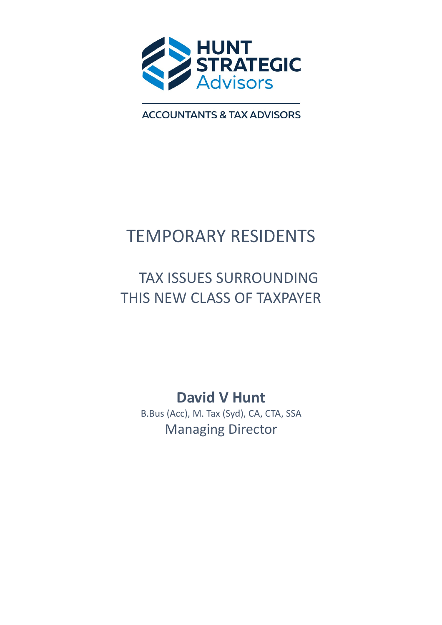

**ACCOUNTANTS & TAX ADVISORS** 

# TEMPORARY RESIDENTS

# TAX ISSUES SURROUNDING THIS NEW CLASS OF TAXPAYER

David V Hunt B.Bus (Acc), M. Tax (Syd), CA, CTA, SSA Managing Director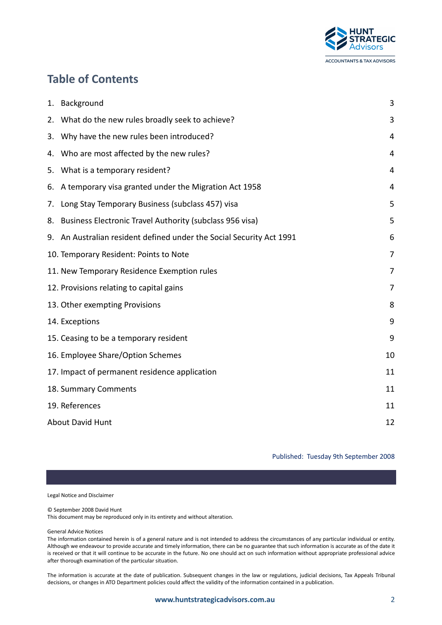

# Table of Contents

|    | 1. Background                                                        | 3  |
|----|----------------------------------------------------------------------|----|
|    | 2. What do the new rules broadly seek to achieve?                    | 3  |
| 3. | Why have the new rules been introduced?                              | 4  |
|    | 4. Who are most affected by the new rules?                           | 4  |
| 5. | What is a temporary resident?                                        | 4  |
| 6. | A temporary visa granted under the Migration Act 1958                | 4  |
|    | 7. Long Stay Temporary Business (subclass 457) visa                  | 5  |
|    | 8. Business Electronic Travel Authority (subclass 956 visa)          | 5  |
|    | 9. An Australian resident defined under the Social Security Act 1991 | 6  |
|    | 10. Temporary Resident: Points to Note                               | 7  |
|    | 11. New Temporary Residence Exemption rules                          | 7  |
|    | 12. Provisions relating to capital gains                             | 7  |
|    | 13. Other exempting Provisions                                       | 8  |
|    | 14. Exceptions                                                       | 9  |
|    | 15. Ceasing to be a temporary resident                               | 9  |
|    | 16. Employee Share/Option Schemes                                    | 10 |
|    | 17. Impact of permanent residence application                        | 11 |
|    | 18. Summary Comments                                                 | 11 |
|    | 19. References                                                       | 11 |
|    | <b>About David Hunt</b>                                              | 12 |

Published: Tuesday 9th September 2008

Legal Notice and Disclaimer

© September 2008 David Hunt

This document may be reproduced only in its entirety and without alteration.

General Advice Notices

The information contained herein is of a general nature and is not intended to address the circumstances of any particular individual or entity. Although we endeavour to provide accurate and timely information, there can be no guarantee that such information is accurate as of the date it is received or that it will continue to be accurate in the future. No one should act on such information without appropriate professional advice after thorough examination of the particular situation.

The information is accurate at the date of publication. Subsequent changes in the law or regulations, judicial decisions, Tax Appeals Tribunal decisions, or changes in ATO Department policies could affect the validity of the information contained in a publication.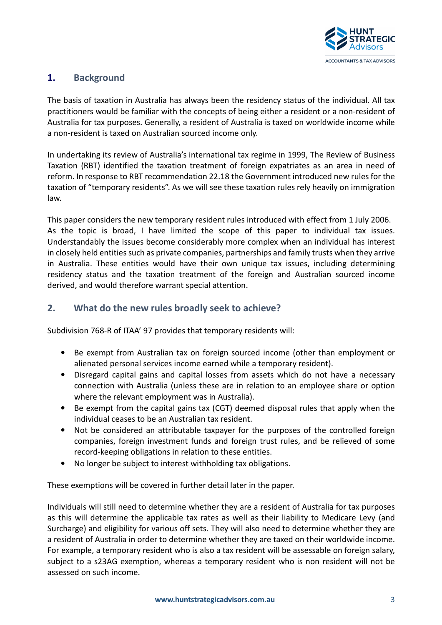

# 1. Background

The basis of taxation in Australia has always been the residency status of the individual. All tax practitioners would be familiar with the concepts of being either a resident or a non-resident of Australia for tax purposes. Generally, a resident of Australia is taxed on worldwide income while a non-resident is taxed on Australian sourced income only.

In undertaking its review of Australia's international tax regime in 1999, The Review of Business Taxation (RBT) identified the taxation treatment of foreign expatriates as an area in need of reform. In response to RBT recommendation 22.18 the Government introduced new rules for the taxation of "temporary residents". As we will see these taxation rules rely heavily on immigration law.

This paper considers the new temporary resident rules introduced with effect from 1 July 2006. As the topic is broad, I have limited the scope of this paper to individual tax issues. Understandably the issues become considerably more complex when an individual has interest in closely held entities such as private companies, partnerships and family trusts when they arrive in Australia. These entities would have their own unique tax issues, including determining residency status and the taxation treatment of the foreign and Australian sourced income derived, and would therefore warrant special attention.

# 2. What do the new rules broadly seek to achieve?

Subdivision 768-R of ITAA' 97 provides that temporary residents will:

- Be exempt from Australian tax on foreign sourced income (other than employment or alienated personal services income earned while a temporary resident).
- Disregard capital gains and capital losses from assets which do not have a necessary connection with Australia (unless these are in relation to an employee share or option where the relevant employment was in Australia).
- Be exempt from the capital gains tax (CGT) deemed disposal rules that apply when the individual ceases to be an Australian tax resident.
- Not be considered an attributable taxpayer for the purposes of the controlled foreign companies, foreign investment funds and foreign trust rules, and be relieved of some record-keeping obligations in relation to these entities.
- No longer be subject to interest withholding tax obligations.

These exemptions will be covered in further detail later in the paper.

Individuals will still need to determine whether they are a resident of Australia for tax purposes as this will determine the applicable tax rates as well as their liability to Medicare Levy (and Surcharge) and eligibility for various off sets. They will also need to determine whether they are a resident of Australia in order to determine whether they are taxed on their worldwide income. For example, a temporary resident who is also a tax resident will be assessable on foreign salary, subject to a s23AG exemption, whereas a temporary resident who is non resident will not be assessed on such income.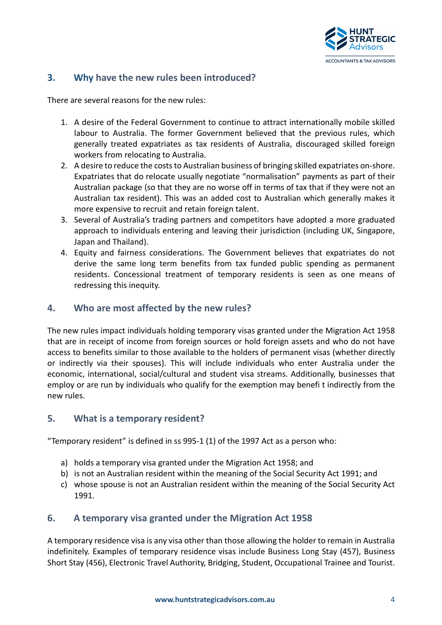

### 3. Why have the new rules been introduced?

There are several reasons for the new rules:

- 1. A desire of the Federal Government to continue to attract internationally mobile skilled labour to Australia. The former Government believed that the previous rules, which generally treated expatriates as tax residents of Australia, discouraged skilled foreign workers from relocating to Australia.
- 2. A desire to reduce the costs to Australian business of bringing skilled expatriates on-shore. Expatriates that do relocate usually negotiate "normalisation" payments as part of their Australian package (so that they are no worse off in terms of tax that if they were not an Australian tax resident). This was an added cost to Australian which generally makes it more expensive to recruit and retain foreign talent.
- 3. Several of Australia's trading partners and competitors have adopted a more graduated approach to individuals entering and leaving their jurisdiction (including UK, Singapore, Japan and Thailand).
- 4. Equity and fairness considerations. The Government believes that expatriates do not derive the same long term benefits from tax funded public spending as permanent residents. Concessional treatment of temporary residents is seen as one means of redressing this inequity.

#### 4. Who are most affected by the new rules?

The new rules impact individuals holding temporary visas granted under the Migration Act 1958 that are in receipt of income from foreign sources or hold foreign assets and who do not have access to benefits similar to those available to the holders of permanent visas (whether directly or indirectly via their spouses). This will include individuals who enter Australia under the economic, international, social/cultural and student visa streams. Additionally, businesses that employ or are run by individuals who qualify for the exemption may benefi t indirectly from the new rules.

#### 5. What is a temporary resident?

"Temporary resident" is defined in ss 995-1 (1) of the 1997 Act as a person who:

- a) holds a temporary visa granted under the Migration Act 1958; and
- b) is not an Australian resident within the meaning of the Social Security Act 1991; and
- c) whose spouse is not an Australian resident within the meaning of the Social Security Act 1991.

#### 6. A temporary visa granted under the Migration Act 1958

A temporary residence visa is any visa other than those allowing the holder to remain in Australia indefinitely. Examples of temporary residence visas include Business Long Stay (457), Business Short Stay (456), Electronic Travel Authority, Bridging, Student, Occupational Trainee and Tourist.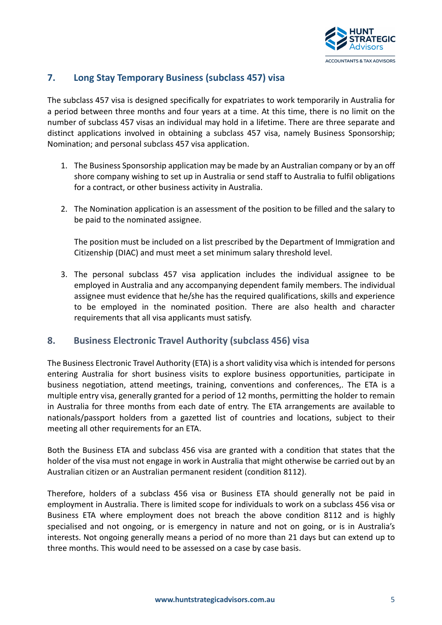

### 7. Long Stay Temporary Business (subclass 457) visa

The subclass 457 visa is designed specifically for expatriates to work temporarily in Australia for a period between three months and four years at a time. At this time, there is no limit on the number of subclass 457 visas an individual may hold in a lifetime. There are three separate and distinct applications involved in obtaining a subclass 457 visa, namely Business Sponsorship; Nomination; and personal subclass 457 visa application.

- 1. The Business Sponsorship application may be made by an Australian company or by an off shore company wishing to set up in Australia or send staff to Australia to fulfil obligations for a contract, or other business activity in Australia.
- 2. The Nomination application is an assessment of the position to be filled and the salary to be paid to the nominated assignee.

The position must be included on a list prescribed by the Department of Immigration and Citizenship (DIAC) and must meet a set minimum salary threshold level.

3. The personal subclass 457 visa application includes the individual assignee to be employed in Australia and any accompanying dependent family members. The individual assignee must evidence that he/she has the required qualifications, skills and experience to be employed in the nominated position. There are also health and character requirements that all visa applicants must satisfy.

#### 8. Business Electronic Travel Authority (subclass 456) visa

The Business Electronic Travel Authority (ETA) is a short validity visa which is intended for persons entering Australia for short business visits to explore business opportunities, participate in business negotiation, attend meetings, training, conventions and conferences,. The ETA is a multiple entry visa, generally granted for a period of 12 months, permitting the holder to remain in Australia for three months from each date of entry. The ETA arrangements are available to nationals/passport holders from a gazetted list of countries and locations, subject to their meeting all other requirements for an ETA.

Both the Business ETA and subclass 456 visa are granted with a condition that states that the holder of the visa must not engage in work in Australia that might otherwise be carried out by an Australian citizen or an Australian permanent resident (condition 8112).

Therefore, holders of a subclass 456 visa or Business ETA should generally not be paid in employment in Australia. There is limited scope for individuals to work on a subclass 456 visa or Business ETA where employment does not breach the above condition 8112 and is highly specialised and not ongoing, or is emergency in nature and not on going, or is in Australia's interests. Not ongoing generally means a period of no more than 21 days but can extend up to three months. This would need to be assessed on a case by case basis.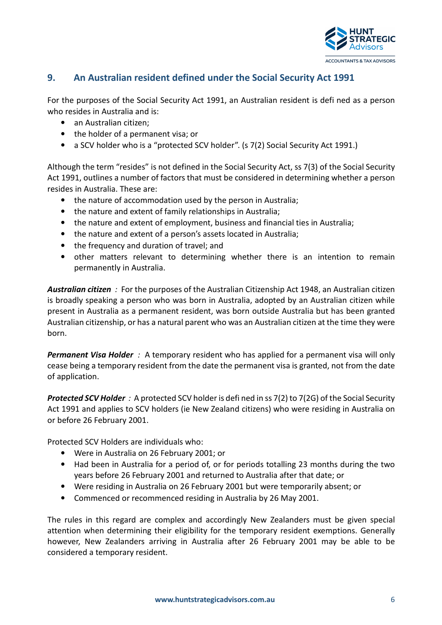

### 9. An Australian resident defined under the Social Security Act 1991

For the purposes of the Social Security Act 1991, an Australian resident is defi ned as a person who resides in Australia and is:

- an Australian citizen:
- the holder of a permanent visa; or
- a SCV holder who is a "protected SCV holder". (s 7(2) Social Security Act 1991.)

Although the term "resides" is not defined in the Social Security Act, ss 7(3) of the Social Security Act 1991, outlines a number of factors that must be considered in determining whether a person resides in Australia. These are:

- the nature of accommodation used by the person in Australia;
- the nature and extent of family relationships in Australia;
- the nature and extent of employment, business and financial ties in Australia;
- the nature and extent of a person's assets located in Australia;
- the frequency and duration of travel: and
- other matters relevant to determining whether there is an intention to remain permanently in Australia.

Australian citizen: For the purposes of the Australian Citizenship Act 1948, an Australian citizen is broadly speaking a person who was born in Australia, adopted by an Australian citizen while present in Australia as a permanent resident, was born outside Australia but has been granted Australian citizenship, or has a natural parent who was an Australian citizen at the time they were born.

**Permanent Visa Holder** : A temporary resident who has applied for a permanent visa will only cease being a temporary resident from the date the permanent visa is granted, not from the date of application.

**Protected SCV Holder**: A protected SCV holder is defined in ss 7(2) to 7(2G) of the Social Security Act 1991 and applies to SCV holders (ie New Zealand citizens) who were residing in Australia on or before 26 February 2001.

Protected SCV Holders are individuals who:

- Were in Australia on 26 February 2001; or
- Had been in Australia for a period of, or for periods totalling 23 months during the two years before 26 February 2001 and returned to Australia after that date; or
- Were residing in Australia on 26 February 2001 but were temporarily absent; or
- Commenced or recommenced residing in Australia by 26 May 2001.

The rules in this regard are complex and accordingly New Zealanders must be given special attention when determining their eligibility for the temporary resident exemptions. Generally however, New Zealanders arriving in Australia after 26 February 2001 may be able to be considered a temporary resident.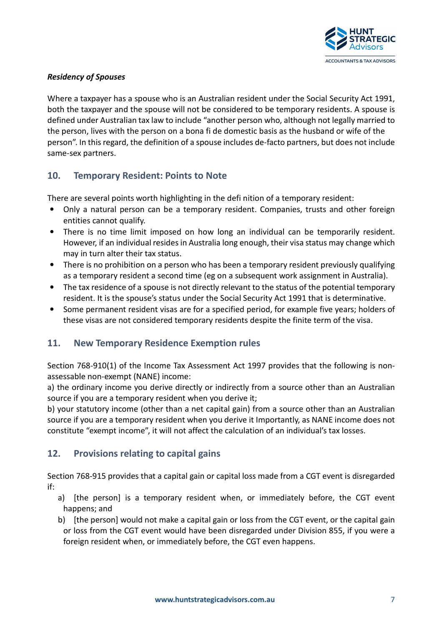

#### Residency of Spouses

Where a taxpayer has a spouse who is an Australian resident under the Social Security Act 1991, both the taxpayer and the spouse will not be considered to be temporary residents. A spouse is defined under Australian tax law to include "another person who, although not legally married to the person, lives with the person on a bona fi de domestic basis as the husband or wife of the person". In this regard, the definition of a spouse includes de-facto partners, but does not include same-sex partners.

#### 10. Temporary Resident: Points to Note

There are several points worth highlighting in the defi nition of a temporary resident:

- Only a natural person can be a temporary resident. Companies, trusts and other foreign entities cannot qualify.
- There is no time limit imposed on how long an individual can be temporarily resident. However, if an individual resides in Australia long enough, their visa status may change which may in turn alter their tax status.
- There is no prohibition on a person who has been a temporary resident previously qualifying as a temporary resident a second time (eg on a subsequent work assignment in Australia).
- The tax residence of a spouse is not directly relevant to the status of the potential temporary resident. It is the spouse's status under the Social Security Act 1991 that is determinative.
- Some permanent resident visas are for a specified period, for example five years; holders of these visas are not considered temporary residents despite the finite term of the visa.

#### 11. New Temporary Residence Exemption rules

Section 768-910(1) of the Income Tax Assessment Act 1997 provides that the following is nonassessable non-exempt (NANE) income:

a) the ordinary income you derive directly or indirectly from a source other than an Australian source if you are a temporary resident when you derive it;

b) your statutory income (other than a net capital gain) from a source other than an Australian source if you are a temporary resident when you derive it Importantly, as NANE income does not constitute "exempt income", it will not affect the calculation of an individual's tax losses.

#### 12. Provisions relating to capital gains

Section 768-915 provides that a capital gain or capital loss made from a CGT event is disregarded if:

- a) [the person] is a temporary resident when, or immediately before, the CGT event happens; and
- b) [the person] would not make a capital gain or loss from the CGT event, or the capital gain or loss from the CGT event would have been disregarded under Division 855, if you were a foreign resident when, or immediately before, the CGT even happens.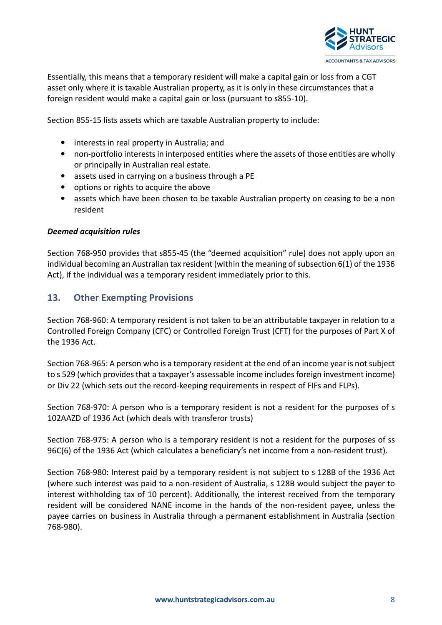

Essentially, this means that a temporary resident will make a capital gain or loss from a CGT asset only where it is taxable Australian property, as it is only in these circumstances that a foreign resident would make a capital gain or loss (pursuant to s855-10).

Section 855-15 lists assets which are taxable Australian property to include:

- interests in real property in Australia; and
- non-portfolio interests in interposed entities where the assets of those entities are wholly or principally in Australian real estate.
- assets used in carrying on a business through a PE
- options or rights to acquire the above
- assets which have been chosen to be taxable Australian property on ceasing to be a non resident

#### Deemed acquisition rules

Section 768-950 provides that s855-45 (the "deemed acquisition" rule) does not apply upon an individual becoming an Australian tax resident (within the meaning of subsection 6(1) of the 1936 Act), if the individual was a temporary resident immediately prior to this.

#### 13. Other Exempting Provisions

Section 768-960: A temporary resident is not taken to be an attributable taxpayer in relation to a Controlled Foreign Company (CFC) or Controlled Foreign Trust (CFT) for the purposes of Part X of the 1936 Act.

Section 768-965: A person who is a temporary resident at the end of an income year is not subject to s 529 (which provides that a taxpayer's assessable income includes foreign investment income) or Div 22 (which sets out the record-keeping requirements in respect of FIFs and FLPs).

Section 768-970: A person who is a temporary resident is not a resident for the purposes of s 102AAZD of 1936 Act (which deals with transferor trusts)

Section 768-975: A person who is a temporary resident is not a resident for the purposes of ss 96C(6) of the 1936 Act (which calculates a beneficiary's net income from a non-resident trust).

Section 768-980: Interest paid by a temporary resident is not subject to s 128B of the 1936 Act (where such interest was paid to a non-resident of Australia, s 128B would subject the payer to interest withholding tax of 10 percent). Additionally, the interest received from the temporary resident will be considered NANE income in the hands of the non-resident payee, unless the payee carries on business in Australia through a permanent establishment in Australia (section 768-980).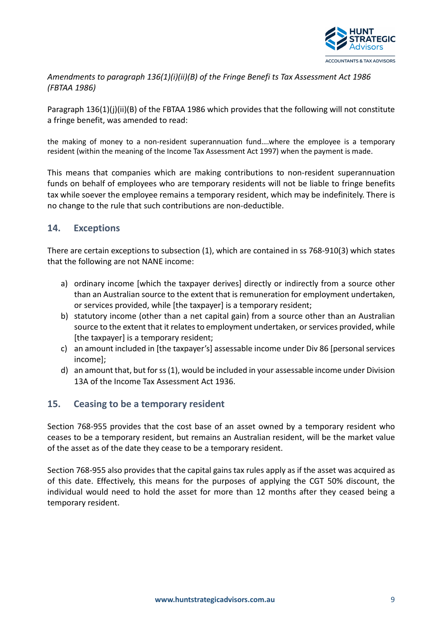

Amendments to paragraph 136(1)(i)(ii)(B) of the Fringe Benefi ts Tax Assessment Act 1986 (FBTAA 1986)

Paragraph 136(1)(i)(ii)(B) of the FBTAA 1986 which provides that the following will not constitute a fringe benefit, was amended to read:

the making of money to a non-resident superannuation fund….where the employee is a temporary resident (within the meaning of the Income Tax Assessment Act 1997) when the payment is made.

This means that companies which are making contributions to non-resident superannuation funds on behalf of employees who are temporary residents will not be liable to fringe benefits tax while soever the employee remains a temporary resident, which may be indefinitely. There is no change to the rule that such contributions are non-deductible.

#### 14. Exceptions

There are certain exceptions to subsection (1), which are contained in ss 768-910(3) which states that the following are not NANE income:

- a) ordinary income [which the taxpayer derives] directly or indirectly from a source other than an Australian source to the extent that is remuneration for employment undertaken, or services provided, while [the taxpayer] is a temporary resident;
- b) statutory income (other than a net capital gain) from a source other than an Australian source to the extent that it relates to employment undertaken, or services provided, while [the taxpayer] is a temporary resident;
- c) an amount included in [the taxpayer's] assessable income under Div 86 [personal services income];
- d) an amount that, but for ss (1), would be included in your assessable income under Division 13A of the Income Tax Assessment Act 1936.

#### 15. Ceasing to be a temporary resident

Section 768-955 provides that the cost base of an asset owned by a temporary resident who ceases to be a temporary resident, but remains an Australian resident, will be the market value of the asset as of the date they cease to be a temporary resident.

Section 768-955 also provides that the capital gains tax rules apply as if the asset was acquired as of this date. Effectively, this means for the purposes of applying the CGT 50% discount, the individual would need to hold the asset for more than 12 months after they ceased being a temporary resident.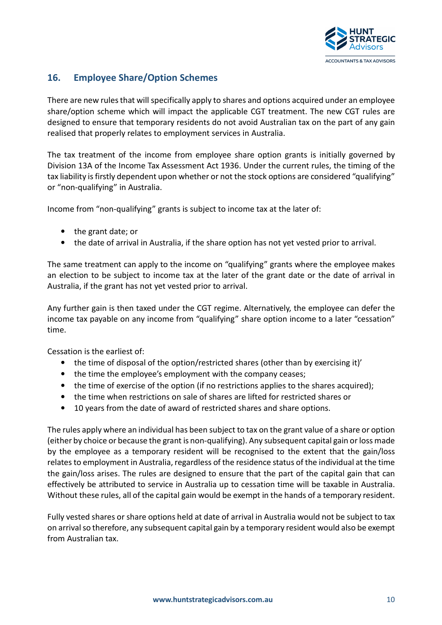

# 16. Employee Share/Option Schemes

There are new rules that will specifically apply to shares and options acquired under an employee share/option scheme which will impact the applicable CGT treatment. The new CGT rules are designed to ensure that temporary residents do not avoid Australian tax on the part of any gain realised that properly relates to employment services in Australia.

The tax treatment of the income from employee share option grants is initially governed by Division 13A of the Income Tax Assessment Act 1936. Under the current rules, the timing of the tax liability is firstly dependent upon whether or not the stock options are considered "qualifying" or "non-qualifying" in Australia.

Income from "non-qualifying" grants is subject to income tax at the later of:

- the grant date; or
- the date of arrival in Australia, if the share option has not yet vested prior to arrival.

The same treatment can apply to the income on "qualifying" grants where the employee makes an election to be subject to income tax at the later of the grant date or the date of arrival in Australia, if the grant has not yet vested prior to arrival.

Any further gain is then taxed under the CGT regime. Alternatively, the employee can defer the income tax payable on any income from "qualifying" share option income to a later "cessation" time.

Cessation is the earliest of:

- the time of disposal of the option/restricted shares (other than by exercising it)'
- the time the employee's employment with the company ceases;
- the time of exercise of the option (if no restrictions applies to the shares acquired);
- the time when restrictions on sale of shares are lifted for restricted shares or
- 10 years from the date of award of restricted shares and share options.

The rules apply where an individual has been subject to tax on the grant value of a share or option (either by choice or because the grant is non-qualifying). Any subsequent capital gain or loss made by the employee as a temporary resident will be recognised to the extent that the gain/loss relates to employment in Australia, regardless of the residence status of the individual at the time the gain/loss arises. The rules are designed to ensure that the part of the capital gain that can effectively be attributed to service in Australia up to cessation time will be taxable in Australia. Without these rules, all of the capital gain would be exempt in the hands of a temporary resident.

Fully vested shares or share options held at date of arrival in Australia would not be subject to tax on arrival so therefore, any subsequent capital gain by a temporary resident would also be exempt from Australian tax.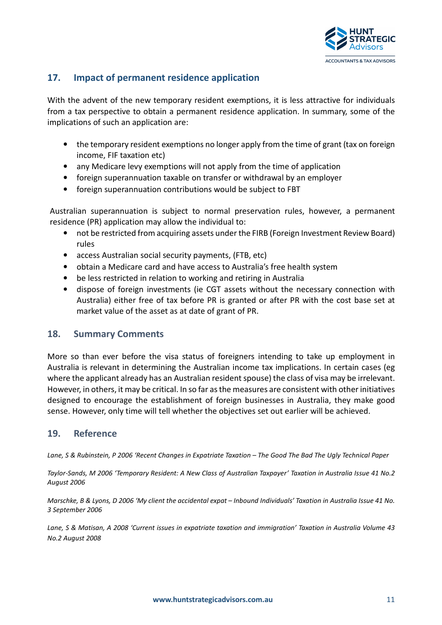

## 17. Impact of permanent residence application

With the advent of the new temporary resident exemptions, it is less attractive for individuals from a tax perspective to obtain a permanent residence application. In summary, some of the implications of such an application are:

- the temporary resident exemptions no longer apply from the time of grant (tax on foreign income, FIF taxation etc)
- any Medicare levy exemptions will not apply from the time of application
- foreign superannuation taxable on transfer or withdrawal by an employer
- foreign superannuation contributions would be subject to FBT

Australian superannuation is subject to normal preservation rules, however, a permanent residence (PR) application may allow the individual to:

- not be restricted from acquiring assets under the FIRB (Foreign Investment Review Board) rules
- access Australian social security payments, (FTB, etc)
- obtain a Medicare card and have access to Australia's free health system
- be less restricted in relation to working and retiring in Australia
- dispose of foreign investments (ie CGT assets without the necessary connection with Australia) either free of tax before PR is granted or after PR with the cost base set at market value of the asset as at date of grant of PR.

#### 18. Summary Comments

More so than ever before the visa status of foreigners intending to take up employment in Australia is relevant in determining the Australian income tax implications. In certain cases (eg where the applicant already has an Australian resident spouse) the class of visa may be irrelevant. However, in others, it may be critical. In so far as the measures are consistent with other initiatives designed to encourage the establishment of foreign businesses in Australia, they make good sense. However, only time will tell whether the objectives set out earlier will be achieved.

#### 19. Reference

Lane, S & Rubinstein, P 2006 'Recent Changes in Expatriate Taxation – The Good The Bad The Ugly Technical Paper

Taylor-Sands, M 2006 'Temporary Resident: A New Class of Australian Taxpayer' Taxation in Australia Issue 41 No.2 August 2006

Marschke, B & Lyons, D 2006 'My client the accidental expat – Inbound Individuals' Taxation in Australia Issue 41 No. 3 September 2006

Lane, S & Matisan, A 2008 'Current issues in expatriate taxation and immigration' Taxation in Australia Volume 43 No.2 August 2008